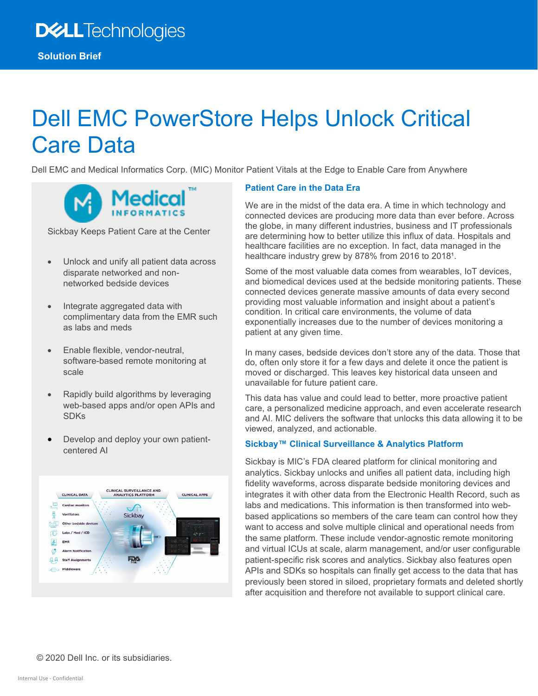# Dell EMC PowerStore Helps Unlock Critical Care Data

Dell EMC and Medical Informatics Corp. (MIC) Monitor Patient Vitals at the Edge to Enable Care from Anywhere



Sickbay Keeps Patient Care at the Center

- Unlock and unify all patient data across disparate networked and nonnetworked bedside devices
- Integrate aggregated data with complimentary data from the EMR such as labs and meds
- Enable flexible, vendor-neutral, software-based remote monitoring at scale
- Rapidly build algorithms by leveraging web-based apps and/or open APIs and SDKs
- Develop and deploy your own patientcentered AI



### **Patient Care in the Data Era**

We are in the midst of the data era. A time in which technology and connected devices are producing more data than ever before. Across the globe, in many different industries, business and IT professionals are determining how to better utilize this influx of data. Hospitals and healthcare facilities are no exception. In fact, data managed in the healthcare industry grew by 878% from 2016 to 2018<sup>1</sup>.

Some of the most valuable data comes from wearables, IoT devices, and biomedical devices used at the bedside monitoring patients. These connected devices generate massive amounts of data every second providing most valuable information and insight about a patient's condition. In critical care environments, the volume of data exponentially increases due to the number of devices monitoring a patient at any given time.

In many cases, bedside devices don't store any of the data. Those that do, often only store it for a few days and delete it once the patient is moved or discharged. This leaves key historical data unseen and unavailable for future patient care.

This data has value and could lead to better, more proactive patient care, a personalized medicine approach, and even accelerate research and AI. MIC delivers the software that unlocks this data allowing it to be viewed, analyzed, and actionable.

#### **Sickbay™ Clinical Surveillance & Analytics Platform**

Sickbay is MIC's FDA cleared platform for clinical monitoring and analytics. Sickbay unlocks and unifies all patient data, including high fidelity waveforms, across disparate bedside monitoring devices and integrates it with other data from the Electronic Health Record, such as labs and medications. This information is then transformed into webbased applications so members of the care team can control how they want to access and solve multiple clinical and operational needs from the same platform. These include vendor-agnostic remote monitoring and virtual ICUs at scale, alarm management, and/or user configurable patient-specific risk scores and analytics. Sickbay also features open APIs and SDKs so hospitals can finally get access to the data that has previously been stored in siloed, proprietary formats and deleted shortly after acquisition and therefore not available to support clinical care.